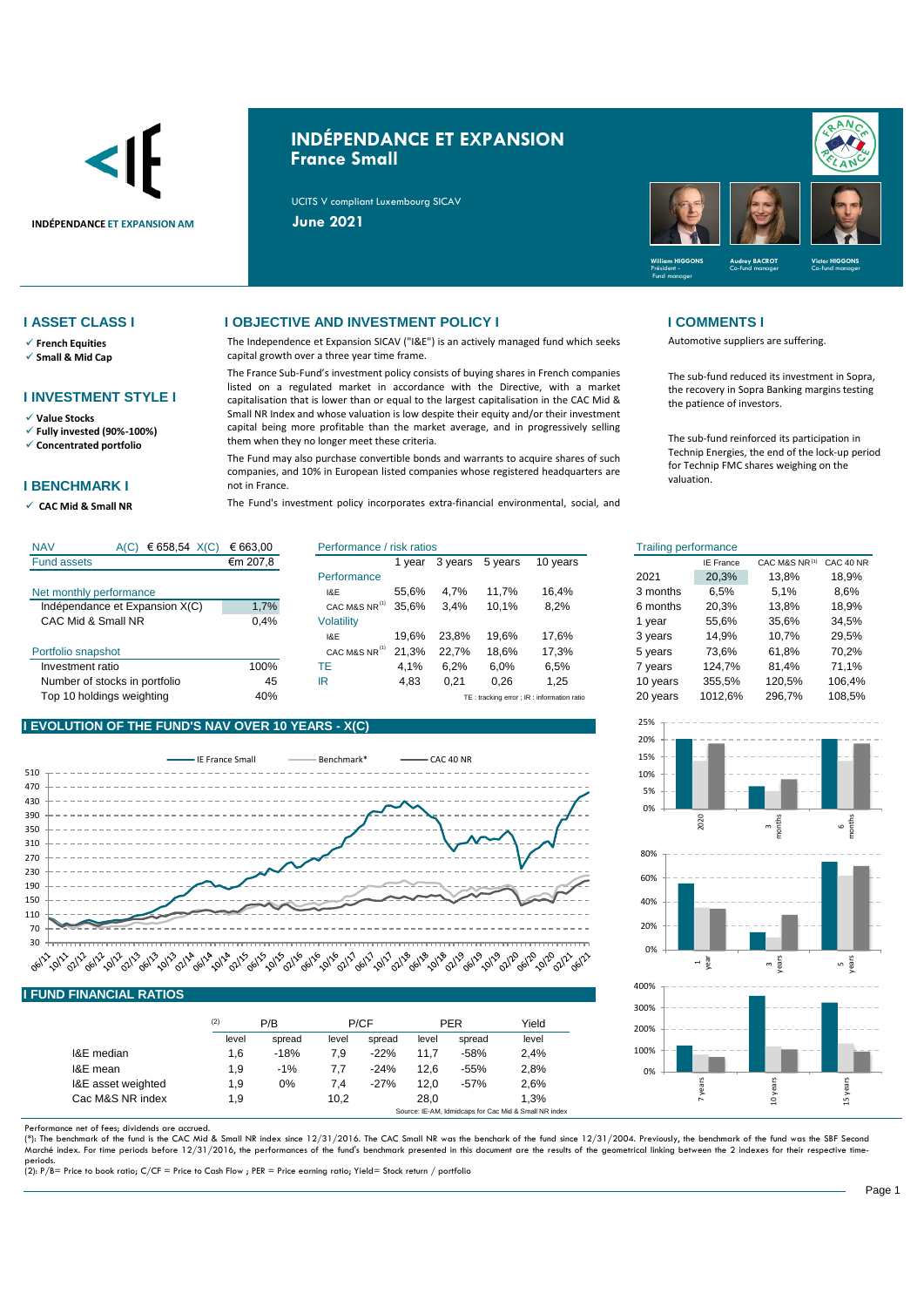

# **INDÉPENDANCE ET EXPANSION France Small**

UCITS V compliant Luxembourg SICAV



- ✓ **French Equities**
- ✓ **Small & Mid Cap**

### **I INVESTMENT STYLE I**

✓ **Value Stocks**

✓ **Fully invested (90%-100%)**

✓ **Concentrated portfolio**

### **I BENCHMARK I**

✓ **CAC Mid & Small NR** 

### **I ASSET CLASS I I OBJECTIVE AND INVESTMENT POLICY I I COMMENTS I**

The Independence et Expansion SICAV ("I&E") is an actively managed fund which seeks capital growth over a three year time frame.

The France Sub-Fund's investment policy consists of buying shares in French companies listed on a regulated market in accordance with the Directive, with a market capitalisation that is lower than or equal to the largest capitalisation in the CAC Mid & Small NR Index and whose valuation is low despite their equity and/or their investment capital being more profitable than the market average, and in progressively selling them when they no longer meet these criteria.

The Fund may also purchase convertible bonds and warrants to acquire shares of such companies, and 10% in European listed companies whose registered headquarters are not in France.

The Fund's investment policy incorporates extra-financial environmental, social, and

Automotive suppliers are suffering.

The sub-fund reduced its investment in Sopra, the recovery in Sopra Banking margins testing the patience of investors.

The sub-fund reinforced its participation in Technip Energies, the end of the lock-up period for Technip FMC shares weighing on the valuation.

| <b>NAV</b><br>€ 658,54 $X(C)$<br>A(C) | € 663.00 | Performance / risk ratios |       |         | <b>Trailing performance</b> |                                           |          |                  |               |           |
|---------------------------------------|----------|---------------------------|-------|---------|-----------------------------|-------------------------------------------|----------|------------------|---------------|-----------|
| <b>Fund assets</b>                    | €m 207,8 |                           | vear  | 3 years | 5 years                     | 10 years                                  |          | <b>IE France</b> | CAC M&S NR(1) | CAC 40 NR |
|                                       |          | Performance               |       |         |                             |                                           | 2021     | 20.3%            | 13,8%         | 18,9%     |
| Net monthly performance               |          | I&E                       | 55.6% | 4.7%    | 11.7%                       | 16.4%                                     | 3 months | 6,5%             | 5.1%          | 8,6%      |
| Indépendance et Expansion X(C)        | 1,7%     | CAC M&S NR <sup>(1)</sup> | 35.6% | 3.4%    | 10.1%                       | 8,2%                                      | 6 months | 20.3%            | 13.8%         | 18,9%     |
| CAC Mid & Small NR                    | 0.4%     | <b>Volatility</b>         |       |         |                             |                                           | vear     | 55.6%            | 35,6%         | 34,5%     |
|                                       |          | I&E                       | 19.6% | 23.8%   | 19.6%                       | 17.6%                                     | 3 years  | 14.9%            | 10.7%         | 29,5%     |
| Portfolio snapshot                    |          | CAC M&S NR <sup>(1)</sup> | 21.3% | 22.7%   | 18.6%                       | 17.3%                                     | 5 years  | 73,6%            | 61,8%         | 70,2%     |
| Investment ratio                      | 100%     | ТE                        | 4.1%  | 6.2%    | 6.0%                        | 6,5%                                      | vears    | 124.7%           | 81.4%         | 71.1%     |
| Number of stocks in portfolio         | 45       | IR                        | 4,83  | 0,21    | 0,26                        | 1,25                                      | 10 years | 355,5%           | 120,5%        | 106,4%    |
| Top 10 holdings weighting             | 40%      |                           |       |         |                             | TE: tracking error: IR: information ratio | 20 years | 1012.6%          | 296.7%        | 108,5%    |

## **I EVOLUTION OF THE FUND'S NAV OVER 10 YEARS - X(C)**



|                    | (2)   | P/B    |       | P/CF   |       | <b>PER</b> | Yield |
|--------------------|-------|--------|-------|--------|-------|------------|-------|
|                    | level | spread | level | spread | level | spread     | level |
| I&E median         | 1,6   | $-18%$ | 7.9   | $-22%$ | 11.7  | $-58%$     | 2.4%  |
| I&E mean           | 1.9   | $-1%$  | 7.7   | $-24%$ | 12.6  | $-55%$     | 2,8%  |
| I&E asset weighted | 1.9   | 0%     | 7.4   | $-27%$ | 12.0  | $-57%$     | 2,6%  |
| Cac M&S NR index   | 1.9   |        | 10,2  |        | 28.0  |            | 1.3%  |

Performance net of fees; dividends are accrued.<br>(\*): The benchmark of the fund is the CAC Mid & Small NR index since 12/31/2016. The CAC Small NR was the benchark of the fund since 12/31/2004. Previously, the benchmark of Marché index. For time periods before 12/31/2016, the performances of the fund's benchmark presented in this document are the results of the geometrical linking between the 2 indexes for their respective time-

periods. (2): P/B= Price to book ratio; C/CF = Price to Cash Flow ; PER = Price earning ratio; Yield= Stock return / portfolio

| isk ratios |         |         |          | <b>Trailing performance</b> |                  |               |           |
|------------|---------|---------|----------|-----------------------------|------------------|---------------|-----------|
| 1 year     | 3 years | 5 years | 10 years |                             | <b>IE France</b> | CAC M&S NR(1) | CAC 40 NR |
|            |         |         |          | 2021                        | 20,3%            | 13,8%         | 18,9%     |
| 55,6%      | 4.7%    | 11.7%   | 16.4%    | 3 months                    | 6.5%             | 5.1%          | 8.6%      |
| 35,6%      | 3,4%    | 10,1%   | 8,2%     | 6 months                    | 20,3%            | 13,8%         | 18,9%     |
|            |         |         |          | 1 year                      | 55,6%            | 35,6%         | 34,5%     |
| 19.6%      | 23.8%   | 19.6%   | 17,6%    | 3 years                     | 14.9%            | 10.7%         | 29,5%     |
| 21,3%      | 22,7%   | 18,6%   | 17,3%    | 5 years                     | 73.6%            | 61,8%         | 70,2%     |
| 4.1%       | 6.2%    | 6.0%    | 6.5%     | 7 years                     | 124.7%           | 81.4%         | 71.1%     |
| 4,83       | 0,21    | 0,26    | 1,25     | 10 years                    | 355,5%           | 120,5%        | 106,4%    |
|            |         |         |          | $20 \cdot 200$              | 101000           | $200-70$      | 400E      |